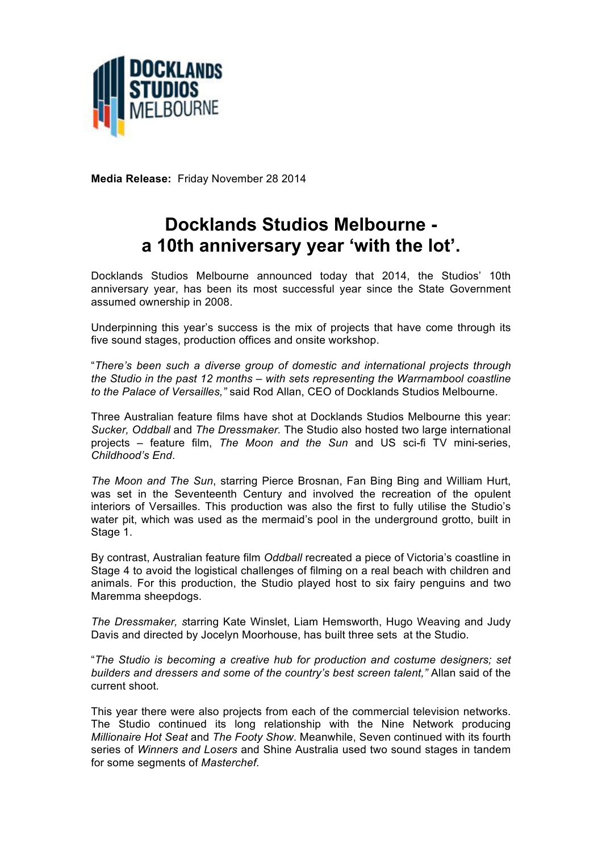

**Media Release:** Friday November 28 2014

## **Docklands Studios Melbourne a 10th anniversary year 'with the lot'.**

Docklands Studios Melbourne announced today that 2014, the Studios' 10th anniversary year, has been its most successful year since the State Government assumed ownership in 2008.

Underpinning this year's success is the mix of projects that have come through its five sound stages, production offices and onsite workshop.

"*There's been such a diverse group of domestic and international projects through the Studio in the past 12 months – with sets representing the Warrnambool coastline to the Palace of Versailles,"* said Rod Allan, CEO of Docklands Studios Melbourne.

Three Australian feature films have shot at Docklands Studios Melbourne this year: *Sucker, Oddball* and *The Dressmaker.* The Studio also hosted two large international projects – feature film, *The Moon and the Sun* and US sci-fi TV mini-series, *Childhood's End*.

*The Moon and The Sun*, starring Pierce Brosnan, Fan Bing Bing and William Hurt, was set in the Seventeenth Century and involved the recreation of the opulent interiors of Versailles. This production was also the first to fully utilise the Studio's water pit, which was used as the mermaid's pool in the underground grotto, built in Stage 1.

By contrast, Australian feature film *Oddball* recreated a piece of Victoria's coastline in Stage 4 to avoid the logistical challenges of filming on a real beach with children and animals. For this production, the Studio played host to six fairy penguins and two Maremma sheepdogs.

*The Dressmaker, s*tarring Kate Winslet, Liam Hemsworth, Hugo Weaving and Judy Davis and directed by Jocelyn Moorhouse, has built three sets at the Studio.

"*The Studio is becoming a creative hub for production and costume designers; set builders and dressers and some of the country's best screen talent,"* Allan said of the current shoot.

This year there were also projects from each of the commercial television networks. The Studio continued its long relationship with the Nine Network producing *Millionaire Hot Seat* and *The Footy Show*. Meanwhile, Seven continued with its fourth series of *Winners and Losers* and Shine Australia used two sound stages in tandem for some segments of *Masterchef*.